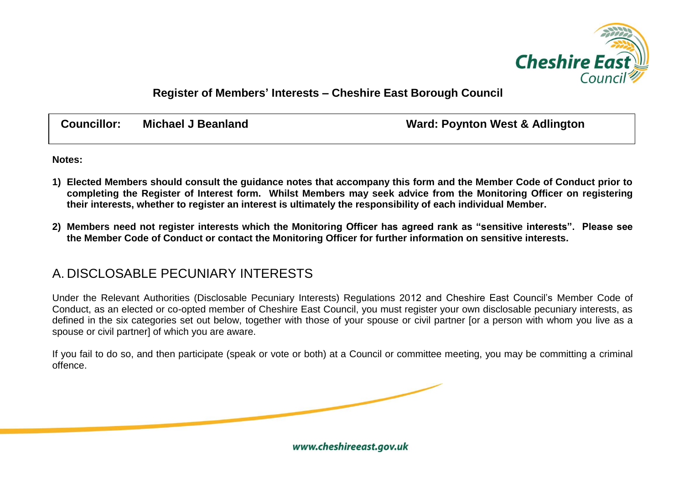

## **Register of Members' Interests – Cheshire East Borough Council**

| <b>Councillor:</b> | <b>Michael J Beanland</b> | <b>Ward: Poynton West &amp; Adlington</b> |
|--------------------|---------------------------|-------------------------------------------|
|                    |                           |                                           |

**Notes:**

- **1) Elected Members should consult the guidance notes that accompany this form and the Member Code of Conduct prior to completing the Register of Interest form. Whilst Members may seek advice from the Monitoring Officer on registering their interests, whether to register an interest is ultimately the responsibility of each individual Member.**
- **2) Members need not register interests which the Monitoring Officer has agreed rank as "sensitive interests". Please see the Member Code of Conduct or contact the Monitoring Officer for further information on sensitive interests.**

## A. DISCLOSABLE PECUNIARY INTERESTS

Under the Relevant Authorities (Disclosable Pecuniary Interests) Regulations 2012 and Cheshire East Council's Member Code of Conduct, as an elected or co-opted member of Cheshire East Council, you must register your own disclosable pecuniary interests, as defined in the six categories set out below, together with those of your spouse or civil partner for a person with whom you live as a spouse or civil partner] of which you are aware.

If you fail to do so, and then participate (speak or vote or both) at a Council or committee meeting, you may be committing a criminal offence.

www.cheshireeast.gov.uk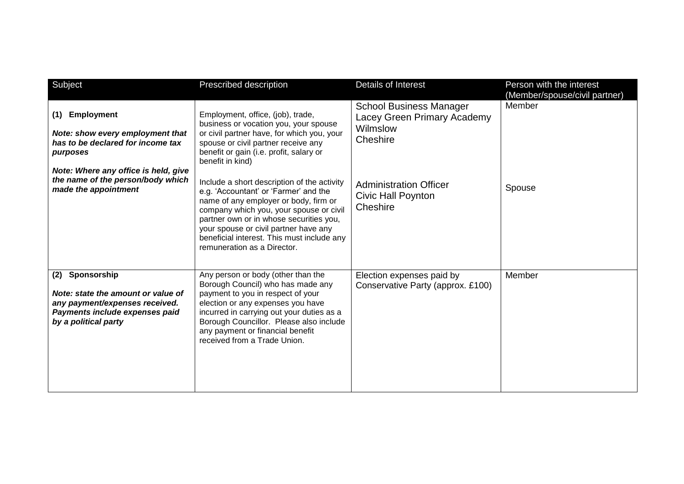| Subject                                                                                                                                           | Prescribed description                                                                                                                                                                                                                                                                                                                    | Details of Interest                                                                   | Person with the interest<br>(Member/spouse/civil partner) |
|---------------------------------------------------------------------------------------------------------------------------------------------------|-------------------------------------------------------------------------------------------------------------------------------------------------------------------------------------------------------------------------------------------------------------------------------------------------------------------------------------------|---------------------------------------------------------------------------------------|-----------------------------------------------------------|
| <b>Employment</b><br>(1)<br>Note: show every employment that<br>has to be declared for income tax<br>purposes                                     | Employment, office, (job), trade,<br>business or vocation you, your spouse<br>or civil partner have, for which you, your<br>spouse or civil partner receive any<br>benefit or gain (i.e. profit, salary or<br>benefit in kind)                                                                                                            | <b>School Business Manager</b><br>Lacey Green Primary Academy<br>Wilmslow<br>Cheshire | Member                                                    |
| Note: Where any office is held, give<br>the name of the person/body which<br>made the appointment                                                 | Include a short description of the activity<br>e.g. 'Accountant' or 'Farmer' and the<br>name of any employer or body, firm or<br>company which you, your spouse or civil<br>partner own or in whose securities you,<br>your spouse or civil partner have any<br>beneficial interest. This must include any<br>remuneration as a Director. | <b>Administration Officer</b><br><b>Civic Hall Poynton</b><br>Cheshire                | Spouse                                                    |
| (2) Sponsorship<br>Note: state the amount or value of<br>any payment/expenses received.<br>Payments include expenses paid<br>by a political party | Any person or body (other than the<br>Borough Council) who has made any<br>payment to you in respect of your<br>election or any expenses you have<br>incurred in carrying out your duties as a<br>Borough Councillor. Please also include<br>any payment or financial benefit<br>received from a Trade Union.                             | Election expenses paid by<br>Conservative Party (approx. £100)                        | Member                                                    |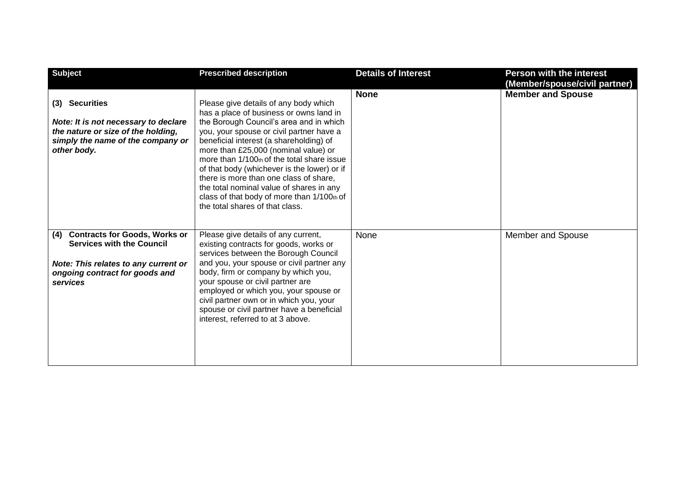| <b>Subject</b>                                                                                                                                                        | <b>Prescribed description</b>                                                                                                                                                                                                                                                                                                                                                                                                                                                                                                  | <b>Details of Interest</b> | <b>Person with the interest</b><br>(Member/spouse/civil partner) |
|-----------------------------------------------------------------------------------------------------------------------------------------------------------------------|--------------------------------------------------------------------------------------------------------------------------------------------------------------------------------------------------------------------------------------------------------------------------------------------------------------------------------------------------------------------------------------------------------------------------------------------------------------------------------------------------------------------------------|----------------------------|------------------------------------------------------------------|
| (3) Securities<br>Note: It is not necessary to declare<br>the nature or size of the holding,<br>simply the name of the company or<br>other body.                      | Please give details of any body which<br>has a place of business or owns land in<br>the Borough Council's area and in which<br>you, your spouse or civil partner have a<br>beneficial interest (a shareholding) of<br>more than £25,000 (nominal value) or<br>more than 1/100th of the total share issue<br>of that body (whichever is the lower) or if<br>there is more than one class of share.<br>the total nominal value of shares in any<br>class of that body of more than 1/100th of<br>the total shares of that class. | <b>None</b>                | <b>Member and Spouse</b>                                         |
| <b>Contracts for Goods, Works or</b><br>(4)<br><b>Services with the Council</b><br>Note: This relates to any current or<br>ongoing contract for goods and<br>services | Please give details of any current,<br>existing contracts for goods, works or<br>services between the Borough Council<br>and you, your spouse or civil partner any<br>body, firm or company by which you,<br>your spouse or civil partner are<br>employed or which you, your spouse or<br>civil partner own or in which you, your<br>spouse or civil partner have a beneficial<br>interest, referred to at 3 above.                                                                                                            | None                       | Member and Spouse                                                |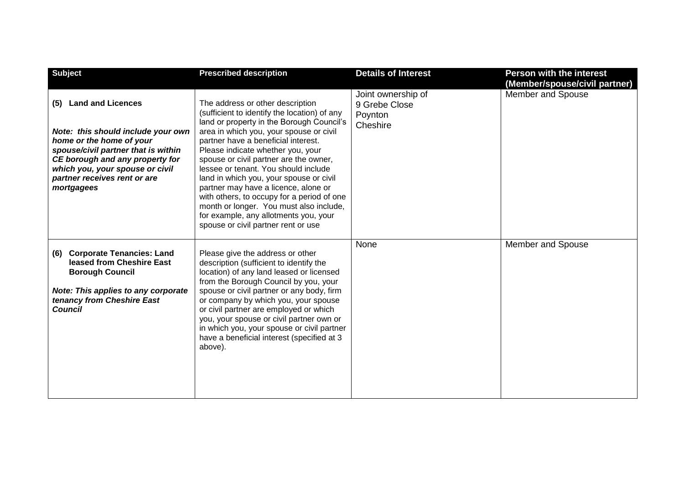| <b>Subject</b>                                                                                                                                                                                                                                               | <b>Prescribed description</b>                                                                                                                                                                                                                                                                                                                                                                                                                                                                                                                                                                      | <b>Details of Interest</b>                                 | <b>Person with the interest</b><br>(Member/spouse/civil partner) |
|--------------------------------------------------------------------------------------------------------------------------------------------------------------------------------------------------------------------------------------------------------------|----------------------------------------------------------------------------------------------------------------------------------------------------------------------------------------------------------------------------------------------------------------------------------------------------------------------------------------------------------------------------------------------------------------------------------------------------------------------------------------------------------------------------------------------------------------------------------------------------|------------------------------------------------------------|------------------------------------------------------------------|
| <b>Land and Licences</b><br>(5)<br>Note: this should include your own<br>home or the home of your<br>spouse/civil partner that is within<br>CE borough and any property for<br>which you, your spouse or civil<br>partner receives rent or are<br>mortgagees | The address or other description<br>(sufficient to identify the location) of any<br>land or property in the Borough Council's<br>area in which you, your spouse or civil<br>partner have a beneficial interest.<br>Please indicate whether you, your<br>spouse or civil partner are the owner,<br>lessee or tenant. You should include<br>land in which you, your spouse or civil<br>partner may have a licence, alone or<br>with others, to occupy for a period of one<br>month or longer. You must also include,<br>for example, any allotments you, your<br>spouse or civil partner rent or use | Joint ownership of<br>9 Grebe Close<br>Poynton<br>Cheshire | Member and Spouse                                                |
| <b>Corporate Tenancies: Land</b><br>(6)<br>leased from Cheshire East<br><b>Borough Council</b><br>Note: This applies to any corporate<br>tenancy from Cheshire East<br><b>Council</b>                                                                        | Please give the address or other<br>description (sufficient to identify the<br>location) of any land leased or licensed<br>from the Borough Council by you, your<br>spouse or civil partner or any body, firm<br>or company by which you, your spouse<br>or civil partner are employed or which<br>you, your spouse or civil partner own or<br>in which you, your spouse or civil partner<br>have a beneficial interest (specified at 3<br>above).                                                                                                                                                 | None                                                       | <b>Member and Spouse</b>                                         |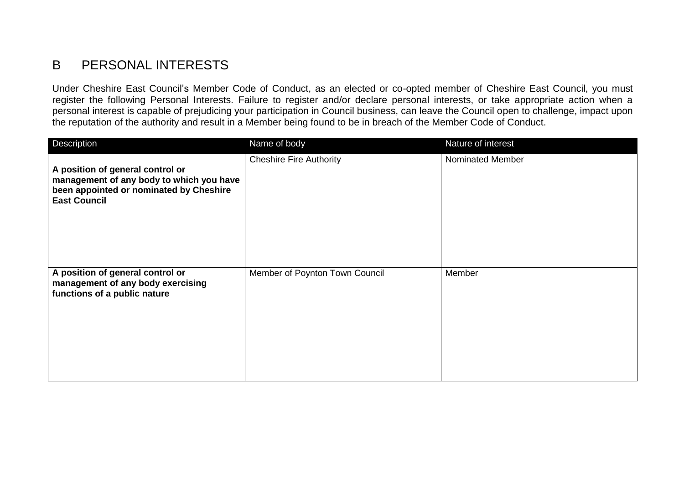## B PERSONAL INTERESTS

Under Cheshire East Council's Member Code of Conduct, as an elected or co-opted member of Cheshire East Council, you must register the following Personal Interests. Failure to register and/or declare personal interests, or take appropriate action when a personal interest is capable of prejudicing your participation in Council business, can leave the Council open to challenge, impact upon the reputation of the authority and result in a Member being found to be in breach of the Member Code of Conduct.

| Description                                                                                                                                    | Name of body                   | Nature of interest |
|------------------------------------------------------------------------------------------------------------------------------------------------|--------------------------------|--------------------|
| A position of general control or<br>management of any body to which you have<br>been appointed or nominated by Cheshire<br><b>East Council</b> | <b>Cheshire Fire Authority</b> | Nominated Member   |
| A position of general control or<br>management of any body exercising<br>functions of a public nature                                          | Member of Poynton Town Council | Member             |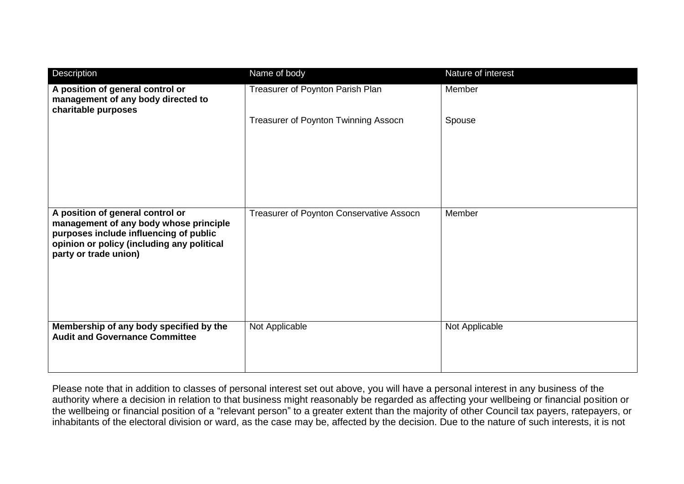| Description                                                                                                                                                                                 | Name of body                             | Nature of interest |
|---------------------------------------------------------------------------------------------------------------------------------------------------------------------------------------------|------------------------------------------|--------------------|
| A position of general control or<br>management of any body directed to<br>charitable purposes                                                                                               | Treasurer of Poynton Parish Plan         | Member             |
|                                                                                                                                                                                             | Treasurer of Poynton Twinning Assocn     | Spouse             |
|                                                                                                                                                                                             |                                          |                    |
|                                                                                                                                                                                             |                                          |                    |
| A position of general control or<br>management of any body whose principle<br>purposes include influencing of public<br>opinion or policy (including any political<br>party or trade union) | Treasurer of Poynton Conservative Assocn | Member             |
| Membership of any body specified by the<br><b>Audit and Governance Committee</b>                                                                                                            | Not Applicable                           | Not Applicable     |

Please note that in addition to classes of personal interest set out above, you will have a personal interest in any business of the authority where a decision in relation to that business might reasonably be regarded as affecting your wellbeing or financial position or the wellbeing or financial position of a "relevant person" to a greater extent than the majority of other Council tax payers, ratepayers, or inhabitants of the electoral division or ward, as the case may be, affected by the decision. Due to the nature of such interests, it is not